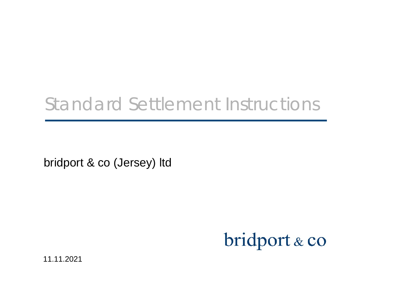## Standard Settlement Instructions

bridport & co (Jersey) ltd

# bridport & co

11.11.2021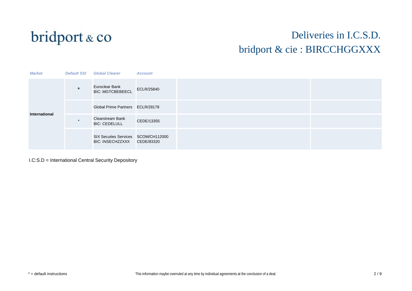

#### Deliveries in I.C.S.D. bridport & cie : BIRCCHGGXXX

| <b>Market</b> | <b>Default SSI</b> | <b>Global Clearer</b>                                              | <b>Account</b>    |  |
|---------------|--------------------|--------------------------------------------------------------------|-------------------|--|
| International | $\star$            | Euroclear Bank<br><b>BIC: MGTCBEBEECL</b>                          | <b>ECLR/25840</b> |  |
|               |                    | Global Prime Partners ECLR/28178                                   |                   |  |
|               |                    | <b>Clearstream Bank</b><br><b>BIC: CEDELULL</b>                    | CEDE/13355        |  |
|               |                    | SIX Secuties Services SCOM/CH112000<br>BIC: INSECHZZXXX CEDE/83320 |                   |  |

I.C:S.D = International Central Security Depository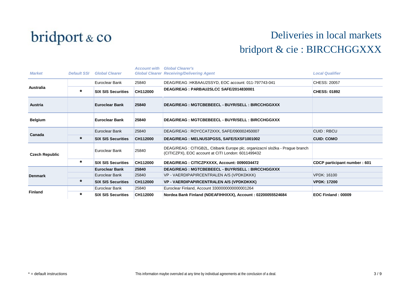

| <b>Market</b>         | <b>Default SSI</b> | <b>Global Clearer</b>     | <b>Account with</b> | <b>Global Clearer's</b><br><b>Global Clearer Receiving/Delivering Agent</b>                                                         | <b>Local Qualifier</b>       |
|-----------------------|--------------------|---------------------------|---------------------|-------------------------------------------------------------------------------------------------------------------------------------|------------------------------|
|                       |                    | Euroclear Bank            | 25840               | DEAG/REAG: HKBAAU2SSYD, EOC account: 011-797743-041                                                                                 | CHESS: 20057                 |
| <b>Australia</b>      | $\ast$             | <b>SIX SIS Securities</b> | CH112000            | DEAG/REAG: PARBAU2SLCC SAFE/2014830001                                                                                              | <b>CHESS: 01892</b>          |
| <b>Austria</b>        |                    | <b>Euroclear Bank</b>     | 25840               | DEAG/REAG: MGTCBEBEECL - BUYR/SELL: BIRCCHGGXXX                                                                                     |                              |
| <b>Belgium</b>        |                    | <b>Euroclear Bank</b>     | 25840               | DEAG/REAG: MGTCBEBEECL - BUYR/SELL: BIRCCHGGXXX                                                                                     |                              |
| Canada                |                    | Euroclear Bank            | 25840               | DEAG/REAG: ROYCCAT2XXX, SAFE/090002450007                                                                                           | <b>CUID: RBCU</b>            |
|                       | $\ast$             | <b>SIX SIS Securities</b> | CH112000            | DEAG/REAG: MELNUS3PGSS, SAFE/SXSF1001002                                                                                            | <b>CUID: COMO</b>            |
| <b>Czech Republic</b> |                    | Euroclear Bank            | 25840               | DEAG/REAG : CITIGB2L, Citibank Europe plc, organizacní složka - Prague branch<br>(CITICZPX), EOC account at CITI London: 6011499432 |                              |
|                       | $\star$            | <b>SIX SIS Securities</b> | CH112000            | DEAG/REAG: CITICZPXXXX, Account: 0090034472                                                                                         | CDCP participant number: 601 |
|                       |                    | <b>Euroclear Bank</b>     | 25840               | DEAG/REAG: MGTCBEBEECL - BUYR/SELL: BIRCCHGGXXX                                                                                     |                              |
| <b>Denmark</b>        |                    | Euroclear Bank            | 25840               | VP - VAERDIPAPIRCENTRALEN A/S (VPDKDKKK)                                                                                            | <b>VPDK: 16100</b>           |
|                       | $\star$            | <b>SIX SIS Securities</b> | CH112000            | VP - VAERDIPAPIRCENTRALEN A/S (VPDKDKKK)                                                                                            | <b>VPDK: 17200</b>           |
|                       |                    | Euroclear Bank            | 25840               | Euroclear Finland, Account 3300000000000001264                                                                                      |                              |
| <b>Finland</b>        | $^\ast$            | <b>SIX SIS Securities</b> | CH112000            | Nordea Bank Finland (NDEAFIHHXXX), Account: 02200055524684                                                                          | EOC Finland: 00009           |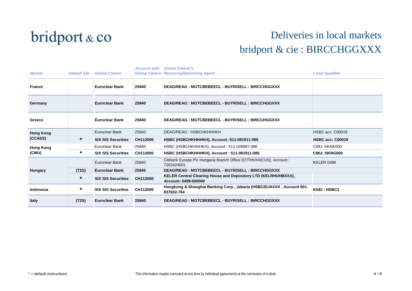

| <b>Default SSI</b> | <b>Global Clearer</b>     | <b>Account with</b> | <b>Global Clearer's</b>                                                                       | <b>Local Qualifier</b>                           |
|--------------------|---------------------------|---------------------|-----------------------------------------------------------------------------------------------|--------------------------------------------------|
|                    | <b>Euroclear Bank</b>     | 25840               | DEAG/REAG: MGTCBEBEECL - BUYR/SELL: BIRCCHGGXXX                                               |                                                  |
|                    | <b>Euroclear Bank</b>     | 25840               | DEAG/REAG: MGTCBEBEECL - BUYR/SELL: BIRCCHGGXXX                                               |                                                  |
|                    | <b>Euroclear Bank</b>     | 25840               | DEAG/REAG: MGTCBEBEECL - BUYR/SELL: BIRCCHGGXXX                                               |                                                  |
|                    | Euroclear Bank            | 25840               | DEAG/REAG: HSBCHKHHHKH                                                                        | <b>HSBC acc: C00019</b>                          |
| $\star$            | <b>SIX SIS Securities</b> | CH112000            | HSBC (HSBCHKHHHKH), Account : 511-081911-085                                                  | <b>HSBC acc: C00019</b>                          |
|                    | Euroclear Bank            | 25840               | HSBC (HSBCHKHHHKH), Account: 511-028987-086                                                   | CMU: HKNE000                                     |
| $\ast$             | <b>SIX SIS Securities</b> | CH112000            | HSBC (HSBCHKHHHKH), Account: 511-081911-085                                                   | <b>CMU: HKNG000</b>                              |
|                    | Euroclear Bank            | 25840               | Citibank Europe Plc Hungaria Branch Office (CITIHUHXCUS), Account :<br>7202424001             | <b>KELER 0498</b>                                |
| (T2S)              | <b>Euroclear Bank</b>     | 25840               | DEAG/REAG: MGTCBEBEECL - BUYR/SELL: BIRCCHGGXXX                                               |                                                  |
| $^\star$           | <b>SIX SIS Securities</b> | CH112000            | <b>KELER Central Clearing House and Depository LTD (KELRHUHBXXX),</b><br>Account: 0499-000000 |                                                  |
| $\ast$             | <b>SIX SIS Securities</b> | CH112000            | Hongkong & Shanghai Banking Corp., Jakarta (HSBCIDJAXXX, Account 001-<br>837632-764           | <b>KSEI: HSBC1</b>                               |
| (T2S)              | <b>Euroclear Bank</b>     | 25840               | DEAG/REAG: MGTCBEBEECL - BUYR/SELL: BIRCCHGGXXX                                               |                                                  |
|                    |                           |                     |                                                                                               | <b>Global Clearer Receiving/Delivering Agent</b> |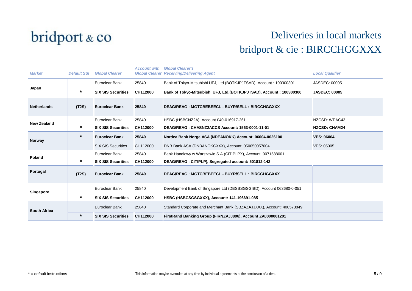

| <b>Market</b>       | <b>Default SSI</b> | <b>Global Clearer</b>     | <b>Account with</b> | <b>Global Clearer's</b><br><b>Global Clearer Receiving/Delivering Agent</b> | <b>Local Qualifier</b> |
|---------------------|--------------------|---------------------------|---------------------|-----------------------------------------------------------------------------|------------------------|
| Japan               |                    | Euroclear Bank            | 25840               | Bank of Tokyo-Mitsubishi UFJ, Ltd. (BOTKJPJTSAD), Account: 100300301        | <b>JASDEC: 00005</b>   |
|                     | *                  | <b>SIX SIS Securities</b> | CH112000            | Bank of Tokyo-Mitsubishi UFJ, Ltd. (BOTKJPJTSAD), Account: 100300300        | <b>JASDEC: 00005</b>   |
| <b>Netherlands</b>  | (T2S)              | <b>Euroclear Bank</b>     | 25840               | DEAG/REAG: MGTCBEBEECL - BUYR/SELL: BIRCCHGGXXX                             |                        |
|                     |                    | Euroclear Bank            | 25840               | HSBC (HSBCNZ2A), Account 040-016917-261                                     | NZCSD: WPAC43          |
| <b>New Zealand</b>  | *                  | <b>SIX SIS Securities</b> | CH112000            | DEAG/REAG: CHASNZ2ACCS Account: 1563-0001-11-01                             | <b>NZCSD: CHAM24</b>   |
| <b>Norway</b>       | $\ast$             | <b>Euroclear Bank</b>     | 25840               | Nordea Bank Norge ASA (NDEANOKK) Account: 06004-0026100                     | <b>VPS: 06004</b>      |
|                     |                    | <b>SIX SIS Securities</b> | CH112000            | DNB Bank ASA (DNBANOKCXXX), Account: 050050057004                           | <b>VPS: 05005</b>      |
| <b>Poland</b>       |                    | Euroclear Bank            | 25840               | Bank Handlowy w Warszawie S.A (CITIPLPX), Account: 0071588001               |                        |
|                     | *                  | <b>SIX SIS Securities</b> | CH112000            | DEAG/REAG: CITIPLP), Segregated account: 501812-142                         |                        |
| Portugal            | (T2S)              | <b>Euroclear Bank</b>     | 25840               | DEAG/REAG: MGTCBEBEECL - BUYR/SELL: BIRCCHGGXXX                             |                        |
| <b>Singapore</b>    |                    | Euroclear Bank            | 25840               | Development Bank of Singapore Ltd (DBSSSGSGIBD), Account 063680-0-051       |                        |
|                     | *                  | <b>SIX SIS Securities</b> | CH112000            | HSBC (HSBCSGSGXXX), Account: 141-196691-085                                 |                        |
| <b>South Africa</b> |                    | Euroclear Bank            | 25840               | Standard Corporate and Merchant Bank (SBZAZAJJXXX), Account: 400573849      |                        |
|                     | *                  | <b>SIX SIS Securities</b> | CH112000            | FirstRand Banking Group (FIRNZAJJ896), Account ZA0000001201                 |                        |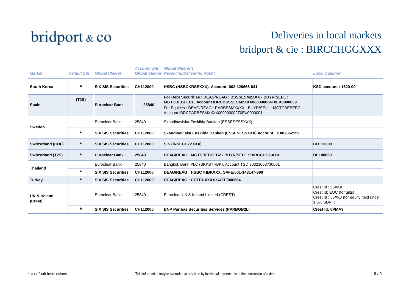

| <b>Market</b>            | <b>Default SSI</b> | <b>Global Clearer</b>     | <b>Account with</b> | <b>Global Clearer's</b><br><b>Global Clearer Receiving/Delivering Agent</b>                                                                                                                                                                 | <b>Local Qualifier</b>                                                                               |
|--------------------------|--------------------|---------------------------|---------------------|---------------------------------------------------------------------------------------------------------------------------------------------------------------------------------------------------------------------------------------------|------------------------------------------------------------------------------------------------------|
| South Korea              | *                  | <b>SIX SIS Securities</b> | CH112000            | HSBC (HSBCKRSEXXX), Account: 002-120665-041                                                                                                                                                                                                 | <b>KSD account: 1520-00</b>                                                                          |
| <b>Spain</b>             | (T2S)              | <b>Euroclear Bank</b>     | 25840               | For Debt Securities : DEAG/REAG : BSSSESM2XXX - BUYR/SELL :<br>MGTCBEBEECL, Account IBRCBSSSESM2XXX000000054T0EX0000039<br>For Equities : DEAG/REAG : PARBESMXXXX - BUYR/SELL : MGTCBEBEECL,<br>Account IBRCPARBESMXXXX000000002T0EX0000001 |                                                                                                      |
| <b>Sweden</b>            |                    | Euroclear Bank            | 25840               | Skandinaviska Enskilda Banken (ESSESESSXXX)                                                                                                                                                                                                 |                                                                                                      |
|                          | $\star$            | <b>SIX SIS Securities</b> | CH112000            | Skandinaviska Enskilda Banken (ESSESESSXXX) Account: 01002862159                                                                                                                                                                            |                                                                                                      |
| <b>Switzerland (CHF)</b> | *                  | <b>SIX SIS Securities</b> | CH112000            | SIS (INSECHZZXXX)                                                                                                                                                                                                                           | CH112000                                                                                             |
| Switzerland (T2S)        | $^\star$           | <b>Euroclear Bank</b>     | 25840               | DEAG/REAG: MGTCBEBEEB2 - BUYR/SELL: BIRCCHGGXXX                                                                                                                                                                                             | <b>BE100650</b>                                                                                      |
| <b>Thailand</b>          |                    | Euroclear Bank            | 25840               | Bangkok Bank PLC (BKKBTHBK), Account TSD 30321053730001                                                                                                                                                                                     |                                                                                                      |
|                          | $\star$            | <b>SIX SIS Securities</b> | CH112000            | DEAG/REAG: HSBCTHBKXXX, SAFE/001-148147-390                                                                                                                                                                                                 |                                                                                                      |
| <b>Turkey</b>            | *                  | <b>SIX SIS Securities</b> | CH112000            | <b>DEAG/REAG: CITITRIXXXX SAFE/006564</b>                                                                                                                                                                                                   |                                                                                                      |
| UK & Ireland<br>(Crest)  |                    | Euroclear Bank            | 25840               | Euroclear UK & Ireland Limited (CREST)                                                                                                                                                                                                      | Crest Id: 56XKK<br>Crest Id: EOC (for gilts)<br>Crest Id: 56XKJ (for equity held under<br>1.5% SDRT) |
|                          | $\star$            | <b>SIX SIS Securities</b> | CH112000            | <b>BNP Paribas Securities Services (PARBGB2L)</b>                                                                                                                                                                                           | <b>Crest Id: 0PMAY</b>                                                                               |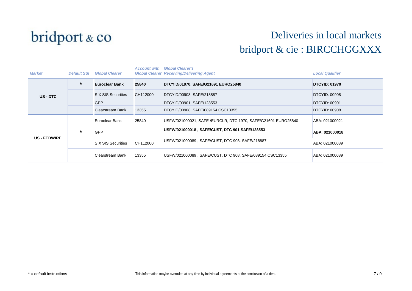

| <b>Market</b>     | <b>Default SSI</b> | <b>Global Clearer</b>     | <b>Account with</b> | <b>Global Clearer's</b><br><b>Global Clearer Receiving/Delivering Agent</b> | <b>Local Qualifier</b> |
|-------------------|--------------------|---------------------------|---------------------|-----------------------------------------------------------------------------|------------------------|
| US - DTC          | $\ast$             | <b>Euroclear Bank</b>     | 25840               | DTCYID/01970, SAFE/G21691 EURO25840                                         | <b>DTCYID: 01970</b>   |
|                   |                    | <b>SIX SIS Securities</b> | CH112000            | DTCYID/00908, SAFE/218887                                                   | DTCYID: 00908          |
|                   |                    | <b>GPP</b>                |                     | DTCYID/00901, SAFE/128553                                                   | <b>DTCYID: 00901</b>   |
|                   |                    | <b>Clearstream Bank</b>   | 13355               | DTCYID/00908, SAFE/089154 CSC13355                                          | DTCYID: 00908          |
| <b>US-FEDWIRE</b> |                    | Euroclear Bank            | 25840               | USFW/021000021, SAFE /EURCLR, DTC 1970, SAFE/G21691 EURO25840               | ABA: 021000021         |
|                   | $\star$            | <b>GPP</b>                |                     | USFW/021000018, SAFE/CUST, DTC 901, SAFE/128553                             | ABA: 021000018         |
|                   |                    | <b>SIX SIS Securities</b> | CH112000            | USFW/021000089, SAFE/CUST, DTC 908, SAFE/218887                             | ABA: 021000089         |
|                   |                    | Clearstream Bank          | 13355               | USFW/021000089, SAFE/CUST, DTC 908, SAFE/089154 CSC13355                    | ABA: 021000089         |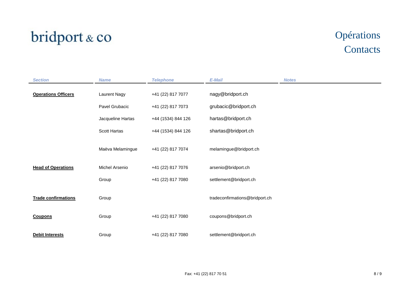## bridport & co

## Opérations **Contacts**

| <b>Section</b>             | <b>Name</b>       | <b>Telephone</b>   | E-Mail                         | <b>Notes</b> |
|----------------------------|-------------------|--------------------|--------------------------------|--------------|
| <b>Operations Officers</b> | Laurent Nagy      | +41 (22) 817 7077  | nagy@bridport.ch               |              |
|                            | Pavel Grubacic    | +41 (22) 817 7073  | grubacic@bridport.ch           |              |
|                            | Jacqueline Hartas | +44 (1534) 844 126 | hartas@bridport.ch             |              |
|                            | Scott Hartas      | +44 (1534) 844 126 | shartas@bridport.ch            |              |
|                            | Maëva Melamingue  | +41 (22) 817 7074  | melamingue@bridport.ch         |              |
| <b>Head of Operations</b>  | Michel Arsenio    | +41 (22) 817 7076  | arsenio@bridport.ch            |              |
|                            | Group             | +41 (22) 817 7080  | settlement@bridport.ch         |              |
| <b>Trade confirmations</b> | Group             |                    | tradeconfirmations@bridport.ch |              |
| <b>Coupons</b>             | Group             | +41 (22) 817 7080  | coupons@bridport.ch            |              |
| <b>Debit Interests</b>     | Group             | +41 (22) 817 7080  | settlement@bridport.ch         |              |